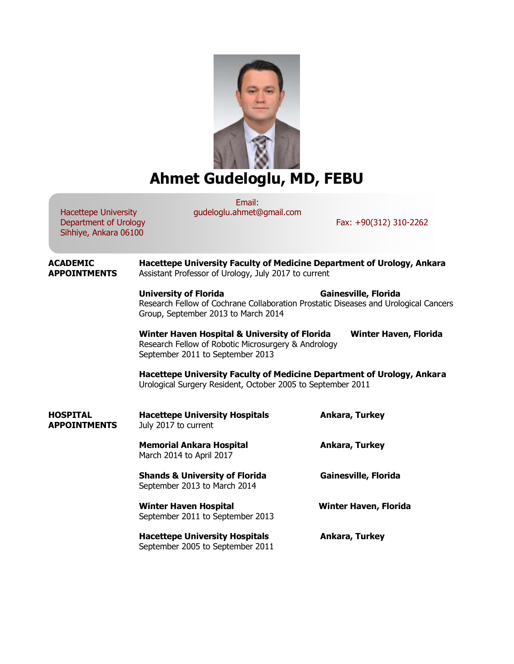

## **Ahmet Gudeloglu, MD, FEBU**

Email: gudeloglu.ahmet@gmail.com

Hacettepe University Department of Urology Sihhiye, Ankara 06100

Fax: +90(312) 310-2262

**ACADEMIC Hacettepe University Faculty of Medicine Department of Urology, Ankara APPOINTMENTS** Assistant Professor of Urology, July 2017 to current **University of Florida Gainesville, Florida** Research Fellow of Cochrane Collaboration Prostatic Diseases and Urological Cancers Group, September 2013 to March 2014 **Winter Haven Hospital & University of Florida Winter Haven, Florida** Research Fellow of Robotic Microsurgery & Andrology September 2011 to September 2013 **Hacettepe University Faculty of Medicine Department of Urology, Ankara** Urological Surgery Resident, October 2005 to September 2011 **HOSPITAL Hacettepe University Hospitals Ankara, Turkey APPOINTMENTS** July 2017 to current **Memorial Ankara Hospital Ankara, Turkey** March 2014 to April 2017 **Shands & University of Florida Gainesville, Florida** September 2013 to March 2014 **Winter Haven Hospital Winter Haven, Florida** September 2011 to September 2013 **Hacettepe University Hospitals Ankara, Turkey** September 2005 to September 2011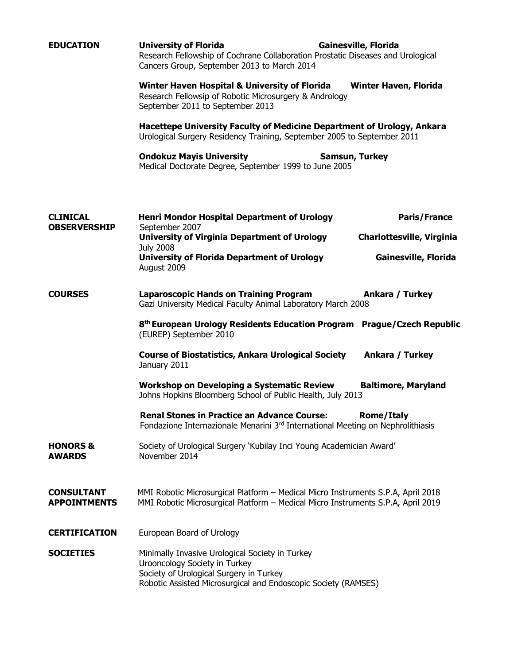| <b>EDUCATION</b>                         | <b>University of Florida</b><br><b>Gainesville, Florida</b><br>Research Fellowship of Cochrane Collaboration Prostatic Diseases and Urological<br>Cancers Group, September 2013 to March 2014 |                                                   |                     |
|------------------------------------------|-----------------------------------------------------------------------------------------------------------------------------------------------------------------------------------------------|---------------------------------------------------|---------------------|
|                                          | Winter Haven Hospital & University of Florida<br>Research Fellowsip of Robotic Microsurgery & Andrology<br>September 2011 to September 2013                                                   | <b>Winter Haven, Florida</b>                      |                     |
|                                          | Hacettepe University Faculty of Medicine Department of Urology, Ankara<br>Urological Surgery Residency Training, September 2005 to September 2011                                             |                                                   |                     |
|                                          | <b>Ondokuz Mayis University</b><br><b>Samsun, Turkey</b><br>Medical Doctorate Degree, September 1999 to June 2005                                                                             |                                                   |                     |
| <b>CLINICAL</b><br><b>OBSERVERSHIP</b>   | <b>Henri Mondor Hospital Department of Urology</b><br>September 2007                                                                                                                          |                                                   | <b>Paris/France</b> |
|                                          | <b>University of Virginia Department of Urology</b><br><b>July 2008</b><br><b>University of Florida Department of Urology</b><br>August 2009                                                  | Charlottesville, Virginia<br>Gainesville, Florida |                     |
| <b>COURSES</b>                           | <b>Laparoscopic Hands on Training Program</b><br>Ankara / Turkey<br>Gazi University Medical Faculty Animal Laboratory March 2008                                                              |                                                   |                     |
|                                          | 8 <sup>th</sup> European Urology Residents Education Program Prague/Czech Republic<br>(EUREP) September 2010                                                                                  |                                                   |                     |
|                                          | <b>Course of Biostatistics, Ankara Urological Society</b><br>January 2011                                                                                                                     | Ankara / Turkey                                   |                     |
|                                          | <b>Workshop on Developing a Systematic Review</b><br>Johns Hopkins Bloomberg School of Public Health, July 2013                                                                               | <b>Baltimore, Maryland</b>                        |                     |
|                                          | <b>Renal Stones in Practice an Advance Course:</b><br>Fondazione Internazionale Menarini 3rd International Meeting on Nephrolithiasis                                                         | <b>Rome/Italy</b>                                 |                     |
| <b>HONORS &amp;</b><br><b>AWARDS</b>     | Society of Urological Surgery 'Kubilay Inci Young Academician Award'<br>November 2014                                                                                                         |                                                   |                     |
| <b>CONSULTANT</b><br><b>APPOINTMENTS</b> | MMI Robotic Microsurgical Platform - Medical Micro Instruments S.P.A, April 2018<br>MMI Robotic Microsurgical Platform - Medical Micro Instruments S.P.A, April 2019                          |                                                   |                     |
| <b>CERTIFICATION</b>                     | European Board of Urology                                                                                                                                                                     |                                                   |                     |
| <b>SOCIETIES</b>                         | Minimally Invasive Urological Society in Turkey<br>Urooncology Society in Turkey<br>Society of Urological Surgery in Turkey<br>Robotic Assisted Microsurgical and Endoscopic Society (RAMSES) |                                                   |                     |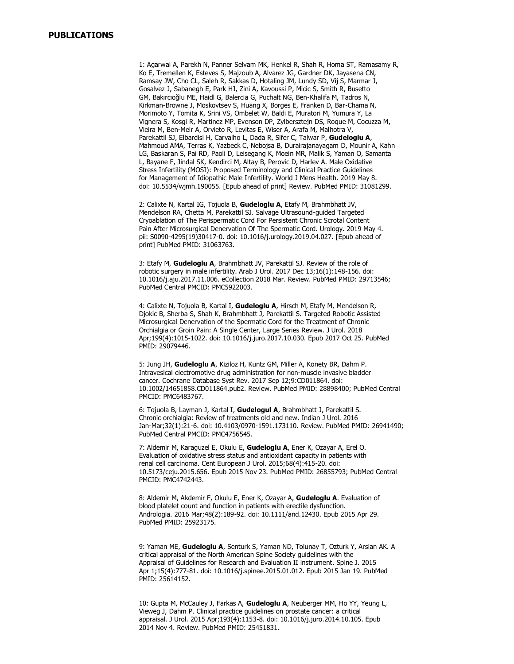1: Agarwal A, Parekh N, Panner Selvam MK, Henkel R, Shah R, Homa ST, Ramasamy R, Ko E, Tremellen K, Esteves S, Majzoub A, Alvarez JG, Gardner DK, Jayasena CN, Ramsay JW, Cho CL, Saleh R, Sakkas D, Hotaling JM, Lundy SD, Vij S, Marmar J, Gosalvez J, Sabanegh E, Park HJ, Zini A, Kavoussi P, Micic S, Smith R, Busetto GM, Bakırcıoğlu ME, Haidl G, Balercia G, Puchalt NG, Ben-Khalifa M, Tadros N, Kirkman-Browne J, Moskovtsev S, Huang X, Borges E, Franken D, Bar-Chama N, Morimoto Y, Tomita K, Srini VS, Ombelet W, Baldi E, Muratori M, Yumura Y, La Vignera S, Kosgi R, Martinez MP, Evenson DP, Zylbersztejn DS, Roque M, Cocuzza M, Vieira M, Ben-Meir A, Orvieto R, Levitas E, Wiser A, Arafa M, Malhotra V, Parekattil SJ, Elbardisi H, Carvalho L, Dada R, Sifer C, Talwar P, **Gudeloglu A**, Mahmoud AMA, Terras K, Yazbeck C, Nebojsa B, Durairajanayagam D, Mounir A, Kahn LG, Baskaran S, Pai RD, Paoli D, Leisegang K, Moein MR, Malik S, Yaman O, Samanta L, Bayane F, Jindal SK, Kendirci M, Altay B, Perovic D, Harlev A. Male Oxidative Stress Infertility (MOSI): Proposed Terminology and Clinical Practice Guidelines for Management of Idiopathic Male Infertility. World J Mens Health. 2019 May 8. doi: 10.5534/wjmh.190055. [Epub ahead of print] Review. PubMed PMID: 31081299.

2: Calixte N, Kartal IG, Tojuola B, **Gudeloglu A**, Etafy M, Brahmbhatt JV, Mendelson RA, Chetta M, Parekattil SJ. Salvage Ultrasound-guided Targeted Cryoablation of The Perispermatic Cord For Persistent Chronic Scrotal Content Pain After Microsurgical Denervation Of The Spermatic Cord. Urology. 2019 May 4. pii: S0090-4295(19)30417-0. doi: 10.1016/j.urology.2019.04.027. [Epub ahead of print] PubMed PMID: 31063763.

3: Etafy M, **Gudeloglu A**, Brahmbhatt JV, Parekattil SJ. Review of the role of robotic surgery in male infertility. Arab J Urol. 2017 Dec 13;16(1):148-156. doi: 10.1016/j.aju.2017.11.006. eCollection 2018 Mar. Review. PubMed PMID: 29713546; PubMed Central PMCID: PMC5922003.

4: Calixte N, Tojuola B, Kartal I, **Gudeloglu A**, Hirsch M, Etafy M, Mendelson R, Djokic B, Sherba S, Shah K, Brahmbhatt J, Parekattil S. Targeted Robotic Assisted Microsurgical Denervation of the Spermatic Cord for the Treatment of Chronic Orchialgia or Groin Pain: A Single Center, Large Series Review. J Urol. 2018 Apr;199(4):1015-1022. doi: 10.1016/j.juro.2017.10.030. Epub 2017 Oct 25. PubMed PMID: 29079446.

5: Jung JH, **Gudeloglu A**, Kiziloz H, Kuntz GM, Miller A, Konety BR, Dahm P. Intravesical electromotive drug administration for non-muscle invasive bladder cancer. Cochrane Database Syst Rev. 2017 Sep 12;9:CD011864. doi: 10.1002/14651858.CD011864.pub2. Review. PubMed PMID: 28898400; PubMed Central PMCID: PMC6483767.

6: Tojuola B, Layman J, Kartal I, **Gudelogul A**, Brahmbhatt J, Parekattil S. Chronic orchialgia: Review of treatments old and new. Indian J Urol. 2016 Jan-Mar;32(1):21-6. doi: 10.4103/0970-1591.173110. Review. PubMed PMID: 26941490; PubMed Central PMCID: PMC4756545.

7: Aldemir M, Karaguzel E, Okulu E, **Gudeloglu A**, Ener K, Ozayar A, Erel O. Evaluation of oxidative stress status and antioxidant capacity in patients with renal cell carcinoma. Cent European J Urol. 2015;68(4):415-20. doi: 10.5173/ceju.2015.656. Epub 2015 Nov 23. PubMed PMID: 26855793; PubMed Central PMCID: PMC4742443.

8: Aldemir M, Akdemir F, Okulu E, Ener K, Ozayar A, **Gudeloglu A**. Evaluation of blood platelet count and function in patients with erectile dysfunction. Andrologia. 2016 Mar;48(2):189-92. doi: 10.1111/and.12430. Epub 2015 Apr 29. PubMed PMID: 25923175.

9: Yaman ME, **Gudeloglu A**, Senturk S, Yaman ND, Tolunay T, Ozturk Y, Arslan AK. A critical appraisal of the North American Spine Society guidelines with the Appraisal of Guidelines for Research and Evaluation II instrument. Spine J. 2015 Apr 1;15(4):777-81. doi: 10.1016/j.spinee.2015.01.012. Epub 2015 Jan 19. PubMed PMID: 25614152.

10: Gupta M, McCauley J, Farkas A, **Gudeloglu A**, Neuberger MM, Ho YY, Yeung L, Vieweg J, Dahm P. Clinical practice guidelines on prostate cancer: a critical appraisal. J Urol. 2015 Apr;193(4):1153-8. doi: 10.1016/j.juro.2014.10.105. Epub 2014 Nov 4. Review. PubMed PMID: 25451831.